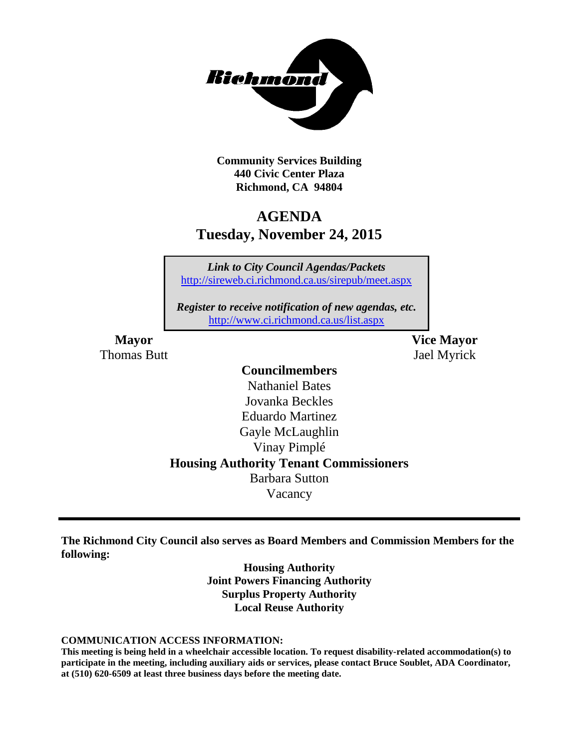

**Community Services Building 440 Civic Center Plaza Richmond, CA 94804**

# **AGENDA Tuesday, November 24, 2015**

*Link to City Council Agendas/Packets* <http://sireweb.ci.richmond.ca.us/sirepub/meet.aspx>

*Register to receive notification of new agendas, etc.* <http://www.ci.richmond.ca.us/list.aspx>

Thomas Butt **International Studies** and Tael Myrick

**Mayor Vice Mayor**

#### **Councilmembers**

Nathaniel Bates Jovanka Beckles Eduardo Martinez Gayle McLaughlin Vinay Pimplé **Housing Authority Tenant Commissioners** Barbara Sutton Vacancy

**The Richmond City Council also serves as Board Members and Commission Members for the following:**

> **Housing Authority Joint Powers Financing Authority Surplus Property Authority Local Reuse Authority**

#### **COMMUNICATION ACCESS INFORMATION:**

**This meeting is being held in a wheelchair accessible location. To request disability-related accommodation(s) to participate in the meeting, including auxiliary aids or services, please contact Bruce Soublet, ADA Coordinator, at (510) 620-6509 at least three business days before the meeting date.**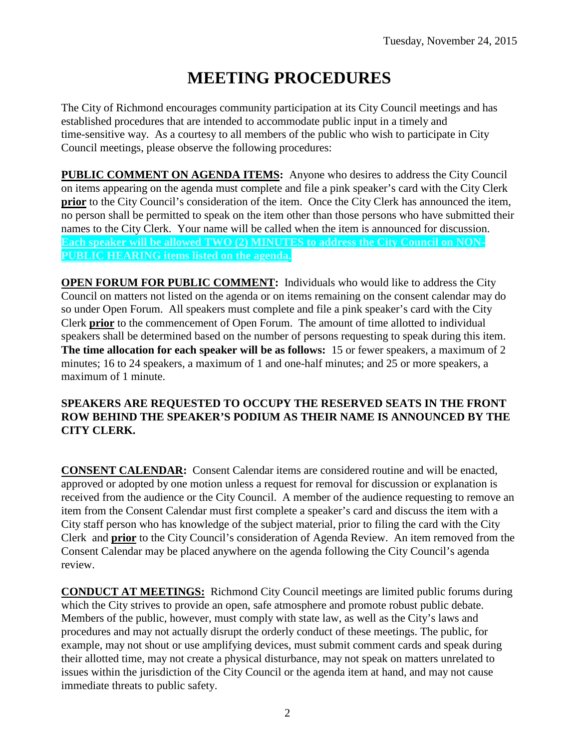# **MEETING PROCEDURES**

The City of Richmond encourages community participation at its City Council meetings and has established procedures that are intended to accommodate public input in a timely and time-sensitive way. As a courtesy to all members of the public who wish to participate in City Council meetings, please observe the following procedures:

**PUBLIC COMMENT ON AGENDA ITEMS:** Anyone who desires to address the City Council on items appearing on the agenda must complete and file a pink speaker's card with the City Clerk **prior** to the City Council's consideration of the item. Once the City Clerk has announced the item, no person shall be permitted to speak on the item other than those persons who have submitted their names to the City Clerk. Your name will be called when the item is announced for discussion. **Each speaker will be allowed TWO (2) MINUTES to address the City Council on NON-PUBLIC HEARING items listed on the agenda.**

**OPEN FORUM FOR PUBLIC COMMENT:** Individuals who would like to address the City Council on matters not listed on the agenda or on items remaining on the consent calendar may do so under Open Forum. All speakers must complete and file a pink speaker's card with the City Clerk **prior** to the commencement of Open Forum. The amount of time allotted to individual speakers shall be determined based on the number of persons requesting to speak during this item. **The time allocation for each speaker will be as follows:** 15 or fewer speakers, a maximum of 2 minutes; 16 to 24 speakers, a maximum of 1 and one-half minutes; and 25 or more speakers, a maximum of 1 minute.

#### **SPEAKERS ARE REQUESTED TO OCCUPY THE RESERVED SEATS IN THE FRONT ROW BEHIND THE SPEAKER'S PODIUM AS THEIR NAME IS ANNOUNCED BY THE CITY CLERK.**

**CONSENT CALENDAR:** Consent Calendar items are considered routine and will be enacted, approved or adopted by one motion unless a request for removal for discussion or explanation is received from the audience or the City Council. A member of the audience requesting to remove an item from the Consent Calendar must first complete a speaker's card and discuss the item with a City staff person who has knowledge of the subject material, prior to filing the card with the City Clerk and **prior** to the City Council's consideration of Agenda Review. An item removed from the Consent Calendar may be placed anywhere on the agenda following the City Council's agenda review.

**CONDUCT AT MEETINGS:** Richmond City Council meetings are limited public forums during which the City strives to provide an open, safe atmosphere and promote robust public debate. Members of the public, however, must comply with state law, as well as the City's laws and procedures and may not actually disrupt the orderly conduct of these meetings. The public, for example, may not shout or use amplifying devices, must submit comment cards and speak during their allotted time, may not create a physical disturbance, may not speak on matters unrelated to issues within the jurisdiction of the City Council or the agenda item at hand, and may not cause immediate threats to public safety.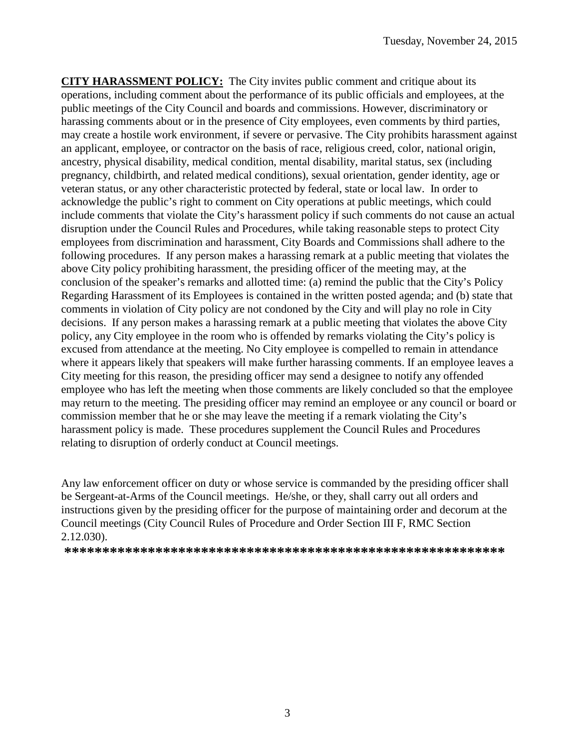**CITY HARASSMENT POLICY:** The City invites public comment and critique about its operations, including comment about the performance of its public officials and employees, at the public meetings of the City Council and boards and commissions. However, discriminatory or harassing comments about or in the presence of City employees, even comments by third parties, may create a hostile work environment, if severe or pervasive. The City prohibits harassment against an applicant, employee, or contractor on the basis of race, religious creed, color, national origin, ancestry, physical disability, medical condition, mental disability, marital status, sex (including pregnancy, childbirth, and related medical conditions), sexual orientation, gender identity, age or veteran status, or any other characteristic protected by federal, state or local law. In order to acknowledge the public's right to comment on City operations at public meetings, which could include comments that violate the City's harassment policy if such comments do not cause an actual disruption under the Council Rules and Procedures, while taking reasonable steps to protect City employees from discrimination and harassment, City Boards and Commissions shall adhere to the following procedures. If any person makes a harassing remark at a public meeting that violates the above City policy prohibiting harassment, the presiding officer of the meeting may, at the conclusion of the speaker's remarks and allotted time: (a) remind the public that the City's Policy Regarding Harassment of its Employees is contained in the written posted agenda; and (b) state that comments in violation of City policy are not condoned by the City and will play no role in City decisions. If any person makes a harassing remark at a public meeting that violates the above City policy, any City employee in the room who is offended by remarks violating the City's policy is excused from attendance at the meeting. No City employee is compelled to remain in attendance where it appears likely that speakers will make further harassing comments. If an employee leaves a City meeting for this reason, the presiding officer may send a designee to notify any offended employee who has left the meeting when those comments are likely concluded so that the employee may return to the meeting. The presiding officer may remind an employee or any council or board or commission member that he or she may leave the meeting if a remark violating the City's harassment policy is made. These procedures supplement the Council Rules and Procedures relating to disruption of orderly conduct at Council meetings.

Any law enforcement officer on duty or whose service is commanded by the presiding officer shall be Sergeant-at-Arms of the Council meetings. He/she, or they, shall carry out all orders and instructions given by the presiding officer for the purpose of maintaining order and decorum at the Council meetings (City Council Rules of Procedure and Order Section III F, RMC Section 2.12.030).

**\*\*\*\*\*\*\*\*\*\*\*\*\*\*\*\*\*\*\*\*\*\*\*\*\*\*\*\*\*\*\*\*\*\*\*\*\*\*\*\*\*\*\*\*\*\*\*\*\*\*\*\*\*\*\*\*\*\***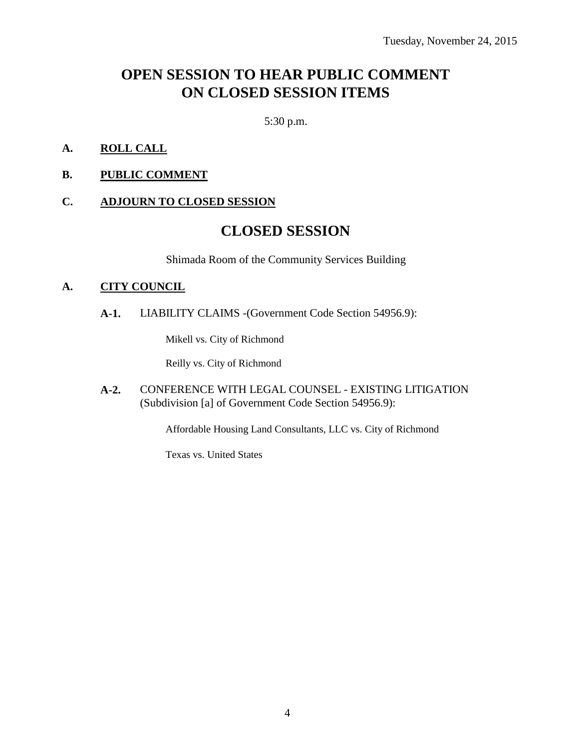# **OPEN SESSION TO HEAR PUBLIC COMMENT ON CLOSED SESSION ITEMS**

5:30 p.m.

- **A. ROLL CALL**
- **B. PUBLIC COMMENT**

#### **C. ADJOURN TO CLOSED SESSION**

### **CLOSED SESSION**

Shimada Room of the Community Services Building

#### **A. CITY COUNCIL**

**A-1.** LIABILITY CLAIMS -(Government Code Section 54956.9):

Mikell vs. City of Richmond

Reilly vs. City of Richmond

**A-2.** CONFERENCE WITH LEGAL COUNSEL - EXISTING LITIGATION (Subdivision [a] of Government Code Section 54956.9):

Affordable Housing Land Consultants, LLC vs. City of Richmond

Texas vs. United States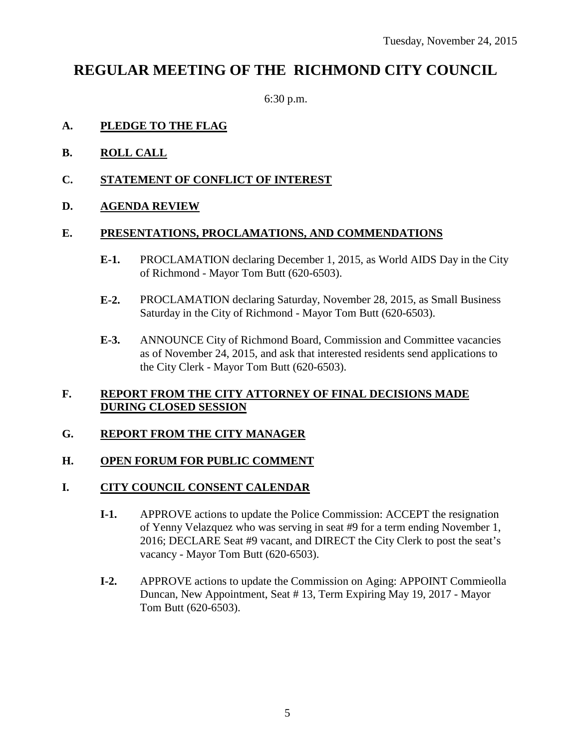## **REGULAR MEETING OF THE RICHMOND CITY COUNCIL**

6:30 p.m.

#### **A. PLEDGE TO THE FLAG**

- **B. ROLL CALL**
- **C. STATEMENT OF CONFLICT OF INTEREST**
- **D. AGENDA REVIEW**

#### **E. PRESENTATIONS, PROCLAMATIONS, AND COMMENDATIONS**

- **E-1.** PROCLAMATION declaring December 1, 2015, as World AIDS Day in the City of Richmond - Mayor Tom Butt (620-6503).
- **E-2.** PROCLAMATION declaring Saturday, November 28, 2015, as Small Business Saturday in the City of Richmond - Mayor Tom Butt (620-6503).
- **E-3.** ANNOUNCE City of Richmond Board, Commission and Committee vacancies as of November 24, 2015, and ask that interested residents send applications to the City Clerk - Mayor Tom Butt (620-6503).

#### **F. REPORT FROM THE CITY ATTORNEY OF FINAL DECISIONS MADE DURING CLOSED SESSION**

#### **G. REPORT FROM THE CITY MANAGER**

#### **H. OPEN FORUM FOR PUBLIC COMMENT**

#### **I. CITY COUNCIL CONSENT CALENDAR**

- **I-1.** APPROVE actions to update the Police Commission: ACCEPT the resignation of Yenny Velazquez who was serving in seat #9 for a term ending November 1, 2016; DECLARE Seat #9 vacant, and DIRECT the City Clerk to post the seat's vacancy - Mayor Tom Butt (620-6503).
- **I-2.** APPROVE actions to update the Commission on Aging: APPOINT Commieolla Duncan, New Appointment, Seat # 13, Term Expiring May 19, 2017 - Mayor Tom Butt (620-6503).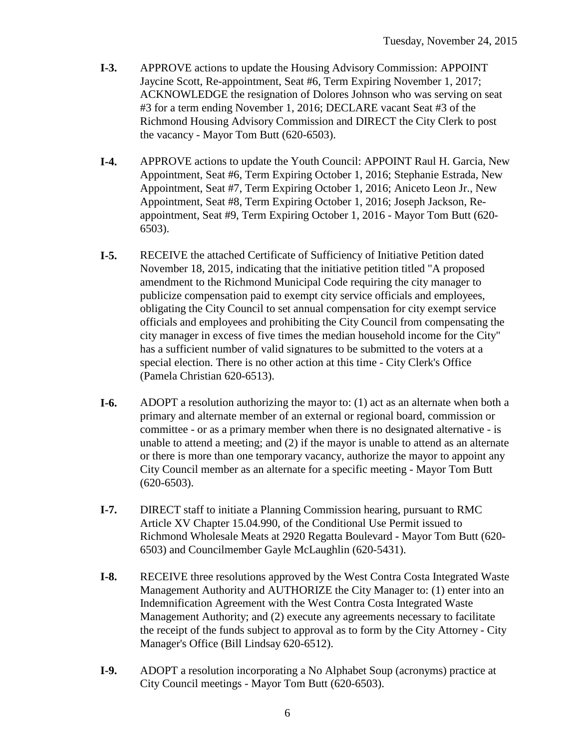- **I-3.** APPROVE actions to update the Housing Advisory Commission: APPOINT Jaycine Scott, Re-appointment, Seat #6, Term Expiring November 1, 2017; ACKNOWLEDGE the resignation of Dolores Johnson who was serving on seat #3 for a term ending November 1, 2016; DECLARE vacant Seat #3 of the Richmond Housing Advisory Commission and DIRECT the City Clerk to post the vacancy - Mayor Tom Butt (620-6503).
- **I-4.** APPROVE actions to update the Youth Council: APPOINT Raul H. Garcia, New Appointment, Seat #6, Term Expiring October 1, 2016; Stephanie Estrada, New Appointment, Seat #7, Term Expiring October 1, 2016; Aniceto Leon Jr., New Appointment, Seat #8, Term Expiring October 1, 2016; Joseph Jackson, Reappointment, Seat #9, Term Expiring October 1, 2016 - Mayor Tom Butt (620- 6503).
- **I-5.** RECEIVE the attached Certificate of Sufficiency of Initiative Petition dated November 18, 2015, indicating that the initiative petition titled "A proposed amendment to the Richmond Municipal Code requiring the city manager to publicize compensation paid to exempt city service officials and employees, obligating the City Council to set annual compensation for city exempt service officials and employees and prohibiting the City Council from compensating the city manager in excess of five times the median household income for the City" has a sufficient number of valid signatures to be submitted to the voters at a special election. There is no other action at this time - City Clerk's Office (Pamela Christian 620-6513).
- **I-6.** ADOPT a resolution authorizing the mayor to: (1) act as an alternate when both a primary and alternate member of an external or regional board, commission or committee - or as a primary member when there is no designated alternative - is unable to attend a meeting; and (2) if the mayor is unable to attend as an alternate or there is more than one temporary vacancy, authorize the mayor to appoint any City Council member as an alternate for a specific meeting - Mayor Tom Butt (620-6503).
- **I-7.** DIRECT staff to initiate a Planning Commission hearing, pursuant to RMC Article XV Chapter 15.04.990, of the Conditional Use Permit issued to Richmond Wholesale Meats at 2920 Regatta Boulevard - Mayor Tom Butt (620- 6503) and Councilmember Gayle McLaughlin (620-5431).
- **I-8.** RECEIVE three resolutions approved by the West Contra Costa Integrated Waste Management Authority and AUTHORIZE the City Manager to: (1) enter into an Indemnification Agreement with the West Contra Costa Integrated Waste Management Authority; and (2) execute any agreements necessary to facilitate the receipt of the funds subject to approval as to form by the City Attorney - City Manager's Office (Bill Lindsay 620-6512).
- **I-9.** ADOPT a resolution incorporating a No Alphabet Soup (acronyms) practice at City Council meetings - Mayor Tom Butt (620-6503).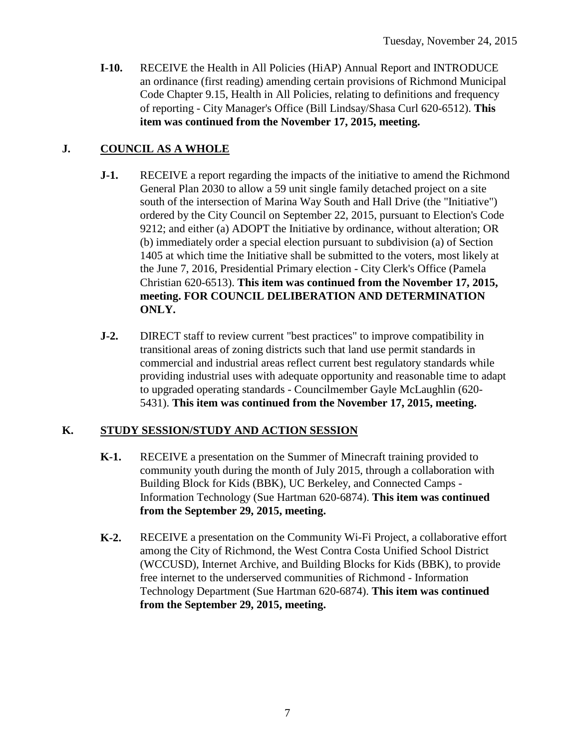**I-10.** RECEIVE the Health in All Policies (HiAP) Annual Report and INTRODUCE an ordinance (first reading) amending certain provisions of Richmond Municipal Code Chapter 9.15, Health in All Policies, relating to definitions and frequency of reporting - City Manager's Office (Bill Lindsay/Shasa Curl 620-6512). **This item was continued from the November 17, 2015, meeting.**

### **J. COUNCIL AS A WHOLE**

- **J-1.** RECEIVE a report regarding the impacts of the initiative to amend the Richmond General Plan 2030 to allow a 59 unit single family detached project on a site south of the intersection of Marina Way South and Hall Drive (the "Initiative") ordered by the City Council on September 22, 2015, pursuant to Election's Code 9212; and either (a) ADOPT the Initiative by ordinance, without alteration; OR (b) immediately order a special election pursuant to subdivision (a) of Section 1405 at which time the Initiative shall be submitted to the voters, most likely at the June 7, 2016, Presidential Primary election - City Clerk's Office (Pamela Christian 620-6513). **This item was continued from the November 17, 2015, meeting. FOR COUNCIL DELIBERATION AND DETERMINATION ONLY.**
- **J-2.** DIRECT staff to review current "best practices" to improve compatibility in transitional areas of zoning districts such that land use permit standards in commercial and industrial areas reflect current best regulatory standards while providing industrial uses with adequate opportunity and reasonable time to adapt to upgraded operating standards - Councilmember Gayle McLaughlin (620- 5431). **This item was continued from the November 17, 2015, meeting.**

### **K. STUDY SESSION/STUDY AND ACTION SESSION**

- **K-1.** RECEIVE a presentation on the Summer of Minecraft training provided to community youth during the month of July 2015, through a collaboration with Building Block for Kids (BBK), UC Berkeley, and Connected Camps - Information Technology (Sue Hartman 620-6874). **This item was continued from the September 29, 2015, meeting.**
- **K-2.** RECEIVE a presentation on the Community Wi-Fi Project, a collaborative effort among the City of Richmond, the West Contra Costa Unified School District (WCCUSD), Internet Archive, and Building Blocks for Kids (BBK), to provide free internet to the underserved communities of Richmond - Information Technology Department (Sue Hartman 620-6874). **This item was continued from the September 29, 2015, meeting.**